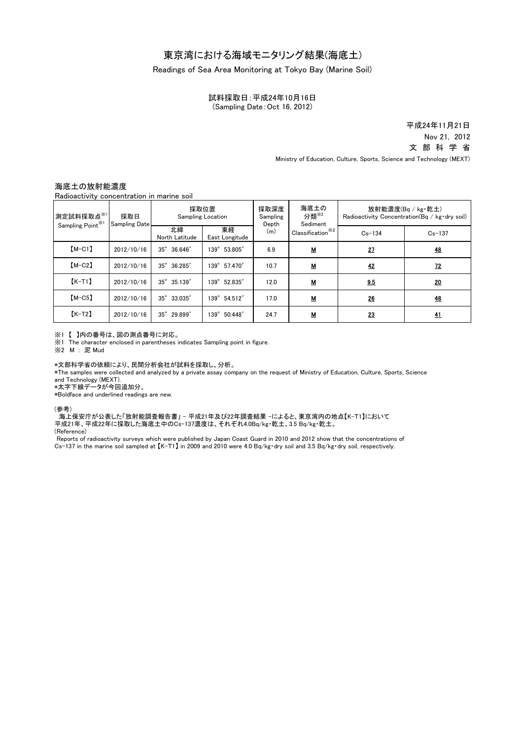# 東京湾における海域モニタリング結果(海底土)

### Readings of Sea Area Monitoring at Tokyo Bay (Marine Soil)

試料採取日:平成24年10月16日 (Sampling Date:Oct 16, 2012)

> Nov 21, 2012 平成24年11月21日 文 部 科 学 省

Ministry of Education, Culture, Sports, Science and Technology (MEXT)

## 海底土の放射能濃度

Radioactivity concentration in marine soil

| 測定試料採取点※1<br>Sampling Point <sup>361</sup> | 採取日<br><b>Sampling Date</b> | 採取位置<br><b>Sampling Location</b> |                       | 採取深度<br>Sampling<br>Depth | 海底土の<br>分類 <sup>※2</sup><br>Sediment | 放射能濃度(Bq / kg·乾土)<br>Radioactivity Concentration (Bq / kg·dry soil) |            |
|--------------------------------------------|-----------------------------|----------------------------------|-----------------------|---------------------------|--------------------------------------|---------------------------------------------------------------------|------------|
|                                            |                             | 北緯<br>North Latitude             | 東経<br>East Longitude  | (m)                       | Classification <sup>**2</sup>        | $Cs - 134$                                                          | $Cs - 137$ |
| $[M-C1]$                                   | 2012/10/16                  | $35^\circ$<br>36.646'            | 139° 53.805'          | 6.9                       | <u>м</u>                             | 27                                                                  | <u>48</u>  |
| $[M-C2]$                                   | 2012/10/16                  | 35° 36.285'                      | 139° 57.470'          | 10.7                      | $M$                                  | 42                                                                  | <u>72</u>  |
| $K-T1$                                     | 2012/10/16                  | 35° 35.139'                      | 139° 52.835'          | 12.0                      | М                                    | 9.5                                                                 | 20         |
| $[M-C5]$                                   | 2012/10/16                  | $35^{\circ}$ 33.035'             | 139° 54.512'          | 17.0                      | <u>м</u>                             | 26                                                                  | <u>48</u>  |
| $K-T2$                                     | 2012/10/16                  | $35^\circ$<br>29.899'            | $139^\circ$<br>50.448 | 24.7                      | $M$                                  | 23                                                                  | 41         |

### ※1 【 】内の番号は、図の測点番号に対応。

※1 The character enclosed in parentheses indicates Sampling point in figure.

※2 M : 泥 Mud

#### \*文部科学省の依頼により、民間分析会社が試料を採取し、分析。

\*The samples were collected and analyzed by a private assay company on the request of Ministry of Education, Culture, Sports, Science and Technology (MEXT).

\*太字下線データが今回追加分。

\*Boldface and underlined readings are new.

#### (参考)

平成21年、平成22年に採取した海底土中のCs-137濃度は、それぞれ4.0Bq/kg・乾土、3.5 Bq/kg・乾土。 海上保安庁が公表した「放射能調査報告書」 - 平成21年及び22年調査結果 -によると、東京湾内の地点【K-T1】において

(Reference)

Cs-137 in the marine soil sampled at 【K-T1】 in 2009 and 2010 were 4.0 Bq/kg・dry soil and 3.5 Bq/kg・dry soil, respectively. Reports of radioactivity surveys which were published by Japan Coast Guard in 2010 and 2012 show that the concentrations of